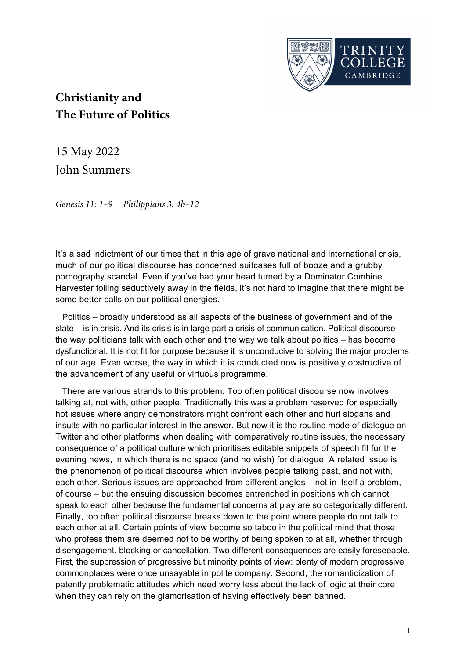

## **Christianity and The Future of Politics**

15 May 2022 John Summers

Genesis 11: 1–9 Philippians 3: 4b–12

It's a sad indictment of our times that in this age of grave national and international crisis, much of our political discourse has concerned suitcases full of booze and a grubby pornography scandal. Even if you've had your head turned by a Dominator Combine Harvester toiling seductively away in the fields, it's not hard to imagine that there might be some better calls on our political energies.

Politics – broadly understood as all aspects of the business of government and of the state – is in crisis. And its crisis is in large part a crisis of communication. Political discourse – the way politicians talk with each other and the way we talk about politics – has become dysfunctional. It is not fit for purpose because it is unconducive to solving the major problems of our age. Even worse, the way in which it is conducted now is positively obstructive of the advancement of any useful or virtuous programme.

There are various strands to this problem. Too often political discourse now involves talking at, not with, other people. Traditionally this was a problem reserved for especially hot issues where angry demonstrators might confront each other and hurl slogans and insults with no particular interest in the answer. But now it is the routine mode of dialogue on Twitter and other platforms when dealing with comparatively routine issues, the necessary consequence of a political culture which prioritises editable snippets of speech fit for the evening news, in which there is no space (and no wish) for dialogue. A related issue is the phenomenon of political discourse which involves people talking past, and not with, each other. Serious issues are approached from different angles – not in itself a problem, of course – but the ensuing discussion becomes entrenched in positions which cannot speak to each other because the fundamental concerns at play are so categorically different. Finally, too often political discourse breaks down to the point where people do not talk to each other at all. Certain points of view become so taboo in the political mind that those who profess them are deemed not to be worthy of being spoken to at all, whether through disengagement, blocking or cancellation. Two different consequences are easily foreseeable. First, the suppression of progressive but minority points of view: plenty of modern progressive commonplaces were once unsayable in polite company. Second, the romanticization of patently problematic attitudes which need worry less about the lack of logic at their core when they can rely on the glamorisation of having effectively been banned.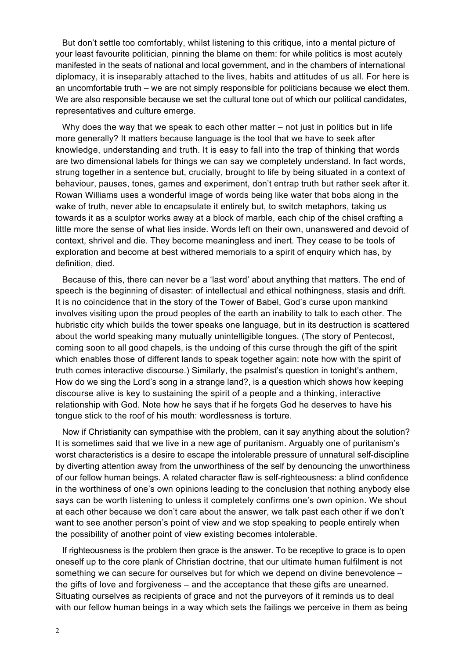But don't settle too comfortably, whilst listening to this critique, into a mental picture of your least favourite politician, pinning the blame on them: for while politics is most acutely manifested in the seats of national and local government, and in the chambers of international diplomacy, it is inseparably attached to the lives, habits and attitudes of us all. For here is an uncomfortable truth – we are not simply responsible for politicians because we elect them. We are also responsible because we set the cultural tone out of which our political candidates, representatives and culture emerge.

Why does the way that we speak to each other matter – not just in politics but in life more generally? It matters because language is the tool that we have to seek after knowledge, understanding and truth. It is easy to fall into the trap of thinking that words are two dimensional labels for things we can say we completely understand. In fact words, strung together in a sentence but, crucially, brought to life by being situated in a context of behaviour, pauses, tones, games and experiment, don't entrap truth but rather seek after it. Rowan Williams uses a wonderful image of words being like water that bobs along in the wake of truth, never able to encapsulate it entirely but, to switch metaphors, taking us towards it as a sculptor works away at a block of marble, each chip of the chisel crafting a little more the sense of what lies inside. Words left on their own, unanswered and devoid of context, shrivel and die. They become meaningless and inert. They cease to be tools of exploration and become at best withered memorials to a spirit of enquiry which has, by definition, died.

Because of this, there can never be a 'last word' about anything that matters. The end of speech is the beginning of disaster: of intellectual and ethical nothingness, stasis and drift. It is no coincidence that in the story of the Tower of Babel, God's curse upon mankind involves visiting upon the proud peoples of the earth an inability to talk to each other. The hubristic city which builds the tower speaks one language, but in its destruction is scattered about the world speaking many mutually unintelligible tongues. (The story of Pentecost, coming soon to all good chapels, is the undoing of this curse through the gift of the spirit which enables those of different lands to speak together again: note how with the spirit of truth comes interactive discourse.) Similarly, the psalmist's question in tonight's anthem, How do we sing the Lord's song in a strange land?, is a question which shows how keeping discourse alive is key to sustaining the spirit of a people and a thinking, interactive relationship with God. Note how he says that if he forgets God he deserves to have his tongue stick to the roof of his mouth: wordlessness is torture.

Now if Christianity can sympathise with the problem, can it say anything about the solution? It is sometimes said that we live in a new age of puritanism. Arguably one of puritanism's worst characteristics is a desire to escape the intolerable pressure of unnatural self-discipline by diverting attention away from the unworthiness of the self by denouncing the unworthiness of our fellow human beings. A related character flaw is self-righteousness: a blind confidence in the worthiness of one's own opinions leading to the conclusion that nothing anybody else says can be worth listening to unless it completely confirms one's own opinion. We shout at each other because we don't care about the answer, we talk past each other if we don't want to see another person's point of view and we stop speaking to people entirely when the possibility of another point of view existing becomes intolerable.

If righteousness is the problem then grace is the answer. To be receptive to grace is to open oneself up to the core plank of Christian doctrine, that our ultimate human fulfilment is not something we can secure for ourselves but for which we depend on divine benevolence – the gifts of love and forgiveness – and the acceptance that these gifts are unearned. Situating ourselves as recipients of grace and not the purveyors of it reminds us to deal with our fellow human beings in a way which sets the failings we perceive in them as being